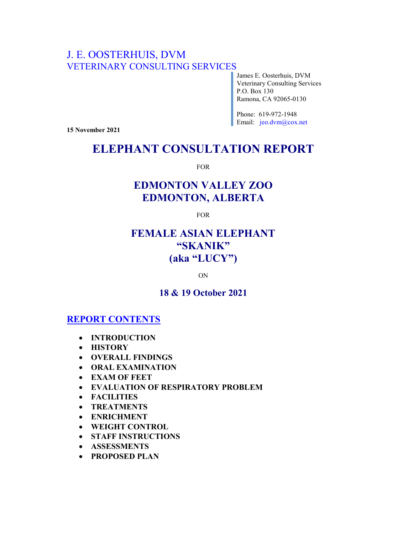## J. E. OOSTERHUIS, DVM VETERINARY CONSULTING SERVICES

James E. Oosterhuis, DVM Veterinary Consulting Services P.O. Box 130 Ramona, CA 92065-0130

Phone: 619-972-1948 Email: jeo.dvm@cox.net

15 November 2021

# ELEPHANT CONSULTATION REPORT

FOR

# EDMONTON VALLEY ZOO EDMONTON, ALBERTA

FOR

## FEMALE ASIAN ELEPHANT "SKANIK" (aka "LUCY")

ON

## 18 & 19 October 2021

## REPORT CONTENTS

- INTRODUCTION
- **HISTORY**
- OVERALL FINDINGS
- **ORAL EXAMINATION**
- EXAM OF FEET
- EVALUATION OF RESPIRATORY PROBLEM
- FACILITIES
- TREATMENTS
- ENRICHMENT
- WEIGHT CONTROL
- STAFF INSTRUCTIONS
- ASSESSMENTS
- PROPOSED PLAN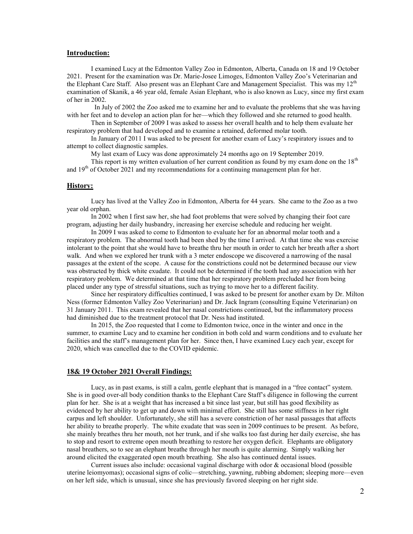#### Introduction:

I examined Lucy at the Edmonton Valley Zoo in Edmonton, Alberta, Canada on 18 and 19 October 2021. Present for the examination was Dr. Marie-Josee Limoges, Edmonton Valley Zoo's Veterinarian and the Elephant Care Staff. Also present was an Elephant Care and Management Specialist. This was my  $12<sup>th</sup>$ examination of Skanik, a 46 year old, female Asian Elephant, who is also known as Lucy, since my first exam of her in 2002.

 In July of 2002 the Zoo asked me to examine her and to evaluate the problems that she was having with her feet and to develop an action plan for her—which they followed and she returned to good health.

Then in September of 2009 I was asked to assess her overall health and to help them evaluate her respiratory problem that had developed and to examine a retained, deformed molar tooth.

In January of 2011 I was asked to be present for another exam of Lucy's respiratory issues and to attempt to collect diagnostic samples.

My last exam of Lucy was done approximately 24 months ago on 19 September 2019.

This report is my written evaluation of her current condition as found by my exam done on the  $18<sup>th</sup>$ and  $19<sup>th</sup>$  of October 2021 and my recommendations for a continuing management plan for her.

#### History:

Lucy has lived at the Valley Zoo in Edmonton, Alberta for 44 years. She came to the Zoo as a two year old orphan.

In 2002 when I first saw her, she had foot problems that were solved by changing their foot care program, adjusting her daily husbandry, increasing her exercise schedule and reducing her weight.

In 2009 I was asked to come to Edmonton to evaluate her for an abnormal molar tooth and a respiratory problem. The abnormal tooth had been shed by the time I arrived. At that time she was exercise intolerant to the point that she would have to breathe thru her mouth in order to catch her breath after a short walk. And when we explored her trunk with a 3 meter endoscope we discovered a narrowing of the nasal passages at the extent of the scope. A cause for the constrictions could not be determined because our view was obstructed by thick white exudate. It could not be determined if the tooth had any association with her respiratory problem. We determined at that time that her respiratory problem precluded her from being placed under any type of stressful situations, such as trying to move her to a different facility.

Since her respiratory difficulties continued, I was asked to be present for another exam by Dr. Milton Ness (former Edmonton Valley Zoo Veterinarian) and Dr. Jack Ingram (consulting Equine Veterinarian) on 31 January 2011. This exam revealed that her nasal constrictions continued, but the inflammatory process had diminished due to the treatment protocol that Dr. Ness had instituted.

In 2015, the Zoo requested that I come to Edmonton twice, once in the winter and once in the summer, to examine Lucy and to examine her condition in both cold and warm conditions and to evaluate her facilities and the staff's management plan for her. Since then, I have examined Lucy each year, except for 2020, which was cancelled due to the COVID epidemic.

#### 18& 19 October 2021 Overall Findings:

Lucy, as in past exams, is still a calm, gentle elephant that is managed in a "free contact" system. She is in good over-all body condition thanks to the Elephant Care Staff's diligence in following the current plan for her. She is at a weight that has increased a bit since last year, but still has good flexibility as evidenced by her ability to get up and down with minimal effort. She still has some stiffness in her right carpus and left shoulder. Unfortunately, she still has a severe constriction of her nasal passages that affects her ability to breathe properly. The white exudate that was seen in 2009 continues to be present. As before, she mainly breathes thru her mouth, not her trunk, and if she walks too fast during her daily exercise, she has to stop and resort to extreme open mouth breathing to restore her oxygen deficit. Elephants are obligatory nasal breathers, so to see an elephant breathe through her mouth is quite alarming. Simply walking her around elicited the exaggerated open mouth breathing. She also has continued dental issues.

Current issues also include: occasional vaginal discharge with odor & occasional blood (possible uterine leiomyomas); occasional signs of colic—stretching, yawning, rubbing abdomen; sleeping more—even on her left side, which is unusual, since she has previously favored sleeping on her right side.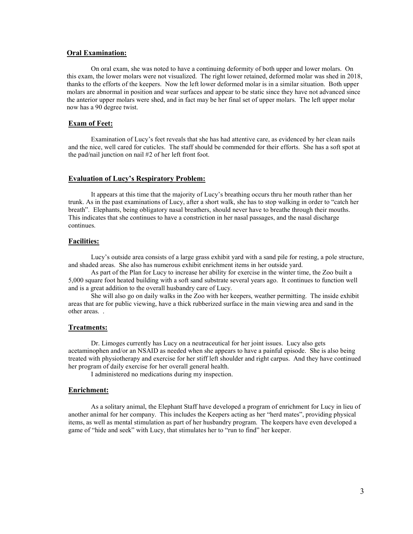#### Oral Examination:

On oral exam, she was noted to have a continuing deformity of both upper and lower molars. On this exam, the lower molars were not visualized. The right lower retained, deformed molar was shed in 2018, thanks to the efforts of the keepers. Now the left lower deformed molar is in a similar situation. Both upper molars are abnormal in position and wear surfaces and appear to be static since they have not advanced since the anterior upper molars were shed, and in fact may be her final set of upper molars. The left upper molar now has a 90 degree twist.

#### Exam of Feet:

Examination of Lucy's feet reveals that she has had attentive care, as evidenced by her clean nails and the nice, well cared for cuticles. The staff should be commended for their efforts. She has a soft spot at the pad/nail junction on nail #2 of her left front foot.

#### Evaluation of Lucy's Respiratory Problem:

It appears at this time that the majority of Lucy's breathing occurs thru her mouth rather than her trunk. As in the past examinations of Lucy, after a short walk, she has to stop walking in order to "catch her breath". Elephants, being obligatory nasal breathers, should never have to breathe through their mouths. This indicates that she continues to have a constriction in her nasal passages, and the nasal discharge continues.

#### Facilities:

Lucy's outside area consists of a large grass exhibit yard with a sand pile for resting, a pole structure, and shaded areas. She also has numerous exhibit enrichment items in her outside yard.

As part of the Plan for Lucy to increase her ability for exercise in the winter time, the Zoo built a 5,000 square foot heated building with a soft sand substrate several years ago. It continues to function well and is a great addition to the overall husbandry care of Lucy.

She will also go on daily walks in the Zoo with her keepers, weather permitting. The inside exhibit areas that are for public viewing, have a thick rubberized surface in the main viewing area and sand in the other areas. .

#### Treatments:

Dr. Limoges currently has Lucy on a neutraceutical for her joint issues. Lucy also gets acetaminophen and/or an NSAID as needed when she appears to have a painful episode. She is also being treated with physiotherapy and exercise for her stiff left shoulder and right carpus. And they have continued her program of daily exercise for her overall general health.

I administered no medications during my inspection.

## Enrichment:

As a solitary animal, the Elephant Staff have developed a program of enrichment for Lucy in lieu of another animal for her company. This includes the Keepers acting as her "herd mates", providing physical items, as well as mental stimulation as part of her husbandry program. The keepers have even developed a game of "hide and seek" with Lucy, that stimulates her to "run to find" her keeper.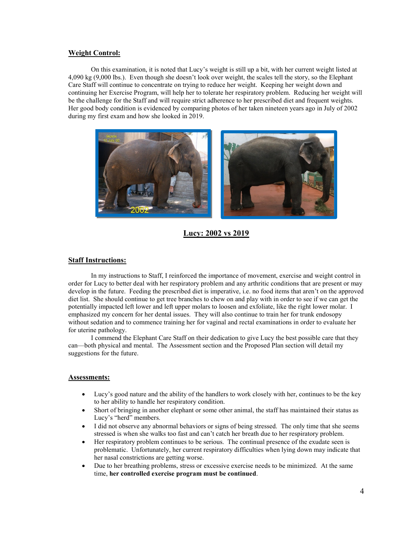#### Weight Control:

On this examination, it is noted that Lucy's weight is still up a bit, with her current weight listed at 4,090 kg (9,000 lbs.). Even though she doesn't look over weight, the scales tell the story, so the Elephant Care Staff will continue to concentrate on trying to reduce her weight. Keeping her weight down and continuing her Exercise Program, will help her to tolerate her respiratory problem. Reducing her weight will be the challenge for the Staff and will require strict adherence to her prescribed diet and frequent weights. Her good body condition is evidenced by comparing photos of her taken nineteen years ago in July of 2002 during my first exam and how she looked in 2019.



Lucy: 2002 vs 2019

## Staff Instructions:

In my instructions to Staff, I reinforced the importance of movement, exercise and weight control in order for Lucy to better deal with her respiratory problem and any arthritic conditions that are present or may develop in the future. Feeding the prescribed diet is imperative, i.e. no food items that aren't on the approved diet list. She should continue to get tree branches to chew on and play with in order to see if we can get the potentially impacted left lower and left upper molars to loosen and exfoliate, like the right lower molar. I emphasized my concern for her dental issues. They will also continue to train her for trunk endosopy without sedation and to commence training her for vaginal and rectal examinations in order to evaluate her for uterine pathology.

I commend the Elephant Care Staff on their dedication to give Lucy the best possible care that they can—both physical and mental. The Assessment section and the Proposed Plan section will detail my suggestions for the future.

## Assessments:

- Lucy's good nature and the ability of the handlers to work closely with her, continues to be the key to her ability to handle her respiratory condition.
- Short of bringing in another elephant or some other animal, the staff has maintained their status as Lucy's "herd" members.
- I did not observe any abnormal behaviors or signs of being stressed. The only time that she seems stressed is when she walks too fast and can't catch her breath due to her respiratory problem.
- Her respiratory problem continues to be serious. The continual presence of the exudate seen is problematic. Unfortunately, her current respiratory difficulties when lying down may indicate that her nasal constrictions are getting worse.
- Due to her breathing problems, stress or excessive exercise needs to be minimized. At the same time, her controlled exercise program must be continued.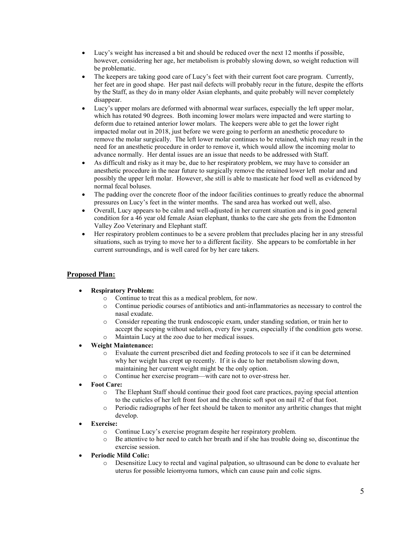- Lucy's weight has increased a bit and should be reduced over the next 12 months if possible, however, considering her age, her metabolism is probably slowing down, so weight reduction will be problematic.
- The keepers are taking good care of Lucy's feet with their current foot care program. Currently, her feet are in good shape. Her past nail defects will probably recur in the future, despite the efforts by the Staff, as they do in many older Asian elephants, and quite probably will never completely disappear.
- Lucy's upper molars are deformed with abnormal wear surfaces, especially the left upper molar, which has rotated 90 degrees. Both incoming lower molars were impacted and were starting to deform due to retained anterior lower molars. The keepers were able to get the lower right impacted molar out in 2018, just before we were going to perform an anesthetic procedure to remove the molar surgically. The left lower molar continues to be retained, which may result in the need for an anesthetic procedure in order to remove it, which would allow the incoming molar to advance normally. Her dental issues are an issue that needs to be addressed with Staff.
- As difficult and risky as it may be, due to her respiratory problem, we may have to consider an anesthetic procedure in the near future to surgically remove the retained lower left molar and and possibly the upper left molar. However, she still is able to masticate her food well as evidenced by normal fecal boluses.
- The padding over the concrete floor of the indoor facilities continues to greatly reduce the abnormal pressures on Lucy's feet in the winter months. The sand area has worked out well, also.
- Overall, Lucy appears to be calm and well-adjusted in her current situation and is in good general condition for a 46 year old female Asian elephant, thanks to the care she gets from the Edmonton Valley Zoo Veterinary and Elephant staff.
- Her respiratory problem continues to be a severe problem that precludes placing her in any stressful situations, such as trying to move her to a different facility. She appears to be comfortable in her current surroundings, and is well cared for by her care takers.

## Proposed Plan:

## Respiratory Problem:

- o Continue to treat this as a medical problem, for now.
- o Continue periodic courses of antibiotics and anti-inflammatories as necessary to control the nasal exudate.
- o Consider repeating the trunk endoscopic exam, under standing sedation, or train her to accept the scoping without sedation, every few years, especially if the condition gets worse. o Maintain Lucy at the zoo due to her medical issues.

## Weight Maintenance:

- o Evaluate the current prescribed diet and feeding protocols to see if it can be determined why her weight has crept up recently. If it is due to her metabolism slowing down, maintaining her current weight might be the only option.
- o Continue her exercise program—with care not to over-stress her.

## Foot Care:

- o The Elephant Staff should continue their good foot care practices, paying special attention to the cuticles of her left front foot and the chronic soft spot on nail #2 of that foot.
- o Periodic radiographs of her feet should be taken to monitor any arthritic changes that might develop.

## Exercise:

- o Continue Lucy's exercise program despite her respiratory problem.
- o Be attentive to her need to catch her breath and if she has trouble doing so, discontinue the exercise session.
- Periodic Mild Colic:
	- o Desensitize Lucy to rectal and vaginal palpation, so ultrasound can be done to evaluate her uterus for possible leiomyoma tumors, which can cause pain and colic signs.